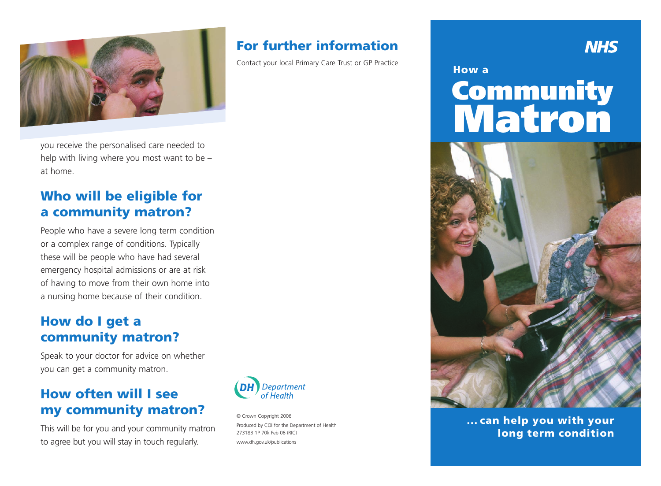

you receive the personalised care needed to help with living where you most want to be – at home.

## **Who will be eligible for a community matron?**

People who have a severe long term condition or a complex range of conditions. Typically these will be people who have had several emergency hospital admissions or are at risk of having to move from their own home into a nursing home because of their condition.

# **How do I get a community matron?**

Speak to your doctor for advice on whether you can get a community matron.

# **How often will I see my community matron?**

This will be for you and your community matron to agree but you will stay in touch regularly.



© Crown Copyright 2006 Produced by COI for the Department of Health 273183 1P 70k Feb 06 (RIC) www.dh.gov.uk/publications

# **For further information**

Contact your local Primary Care Trust or GP Practice

#### **How a**

# **Community Matron**

**NHS** 



**... can help you with your long term condition**